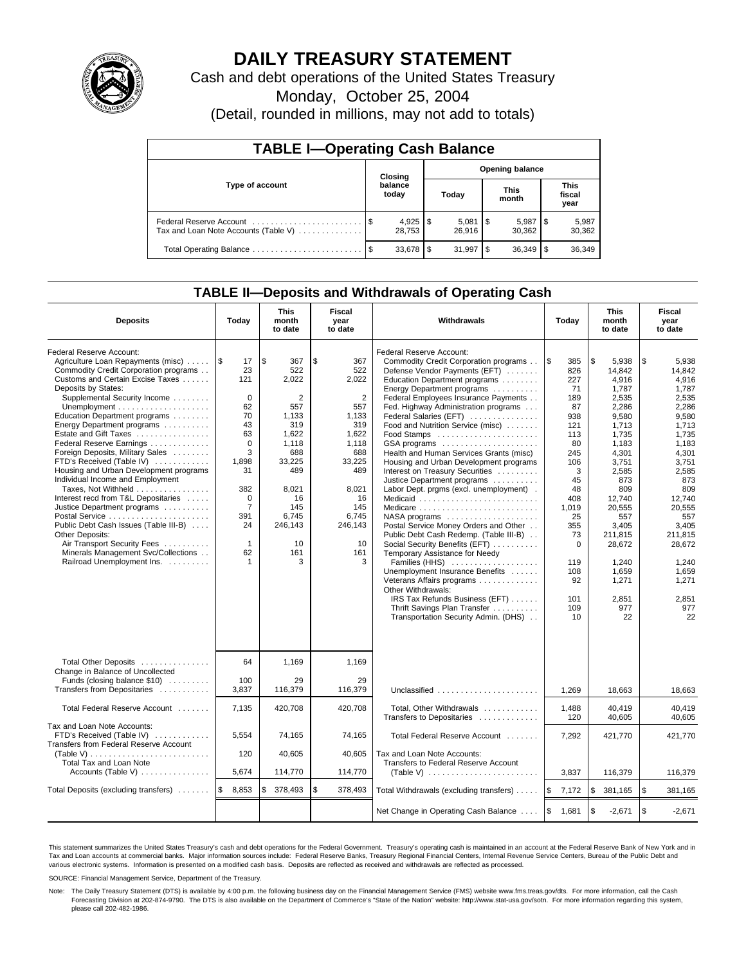

# **DAILY TREASURY STATEMENT**

Cash and debt operations of the United States Treasury

Monday, October 25, 2004

(Detail, rounded in millions, may not add to totals)

| <b>TABLE I-Operating Cash Balance</b> |                                   |                  |    |        |     |                      |                               |                 |  |  |
|---------------------------------------|-----------------------------------|------------------|----|--------|-----|----------------------|-------------------------------|-----------------|--|--|
|                                       | <b>Opening balance</b><br>Closing |                  |    |        |     |                      |                               |                 |  |  |
| Type of account                       |                                   | balance<br>today |    | Today  |     | <b>This</b><br>month | <b>This</b><br>fiscal<br>year |                 |  |  |
| Tax and Loan Note Accounts (Table V)  |                                   | 28.753           |    | 26.916 |     | 5,987<br>30.362      | 1\$                           | 5,987<br>30,362 |  |  |
| Total Operating Balance               | - \$                              | 33,678           | \$ | 31.997 | \$. | 36,349               |                               | 36,349          |  |  |

## **TABLE II—Deposits and Withdrawals of Operating Cash**

| <b>Deposits</b>                                                  | Today                         | <b>This</b><br>month<br>to date | Fiscal<br>year<br>to date | <b>Withdrawals</b>                                               | Today             | <b>This</b><br>month<br>to date | Fiscal<br>year<br>to date |
|------------------------------------------------------------------|-------------------------------|---------------------------------|---------------------------|------------------------------------------------------------------|-------------------|---------------------------------|---------------------------|
| Federal Reserve Account:                                         |                               |                                 |                           | Federal Reserve Account:                                         |                   |                                 |                           |
| Agriculture Loan Repayments (misc)                               | $\sqrt{3}$<br>17              | l \$<br>367                     | \$<br>367                 | Commodity Credit Corporation programs                            | <b>S</b><br>385   | \$<br>5,938                     | \$<br>5,938               |
| Commodity Credit Corporation programs                            | 23                            | 522                             | 522                       | Defense Vendor Payments (EFT)                                    | 826               | 14.842                          | 14.842                    |
| Customs and Certain Excise Taxes                                 | 121                           | 2.022                           | 2,022                     | Education Department programs                                    | 227               | 4,916                           | 4,916                     |
| Deposits by States:                                              |                               |                                 |                           | Energy Department programs                                       | 71                | 1,787                           | 1,787                     |
| Supplemental Security Income                                     | $\mathbf 0$                   | 2                               | $\overline{2}$            | Federal Employees Insurance Payments                             | 189               | 2,535                           | 2,535                     |
|                                                                  | 62                            | 557                             | 557                       | Fed. Highway Administration programs                             | 87                | 2,286                           | 2,286                     |
| Education Department programs                                    | 70                            | 1,133                           | 1,133                     | Federal Salaries (EFT)                                           | 938               | 9,580                           | 9,580                     |
| Energy Department programs                                       | 43                            | 319                             | 319                       | Food and Nutrition Service (misc)                                | 121               | 1,713                           | 1,713                     |
| Estate and Gift Taxes                                            | 63                            | 1.622                           | 1.622                     |                                                                  | 113               | 1.735                           | 1.735                     |
| Federal Reserve Earnings                                         | $\Omega$                      | 1,118                           | 1.118                     | GSA programs                                                     | 80                | 1,183                           | 1,183                     |
| Foreign Deposits, Military Sales                                 | 3                             | 688                             | 688                       | Health and Human Services Grants (misc)                          | 245               | 4,301                           | 4,301                     |
| FTD's Received (Table IV)                                        | 1,898                         | 33,225                          | 33,225                    | Housing and Urban Development programs                           | 106               | 3.751                           | 3,751                     |
| Housing and Urban Development programs                           | 31                            | 489                             | 489                       | Interest on Treasury Securities                                  | 3                 | 2,585                           | 2,585                     |
| Individual Income and Employment                                 |                               |                                 |                           | Justice Department programs                                      | 45                | 873                             | 873                       |
| Taxes, Not Withheld                                              | 382                           | 8,021                           | 8,021                     | Labor Dept. prgms (excl. unemployment).                          | 48                | 809                             | 809                       |
| Interest recd from T&L Depositaries                              | $\mathbf 0$<br>$\overline{7}$ | 16                              | 16<br>145                 |                                                                  | 408               | 12.740                          | 12.740                    |
| Justice Department programs                                      |                               | 145                             | 6,745                     | Medicare                                                         | 1,019             | 20,555                          | 20.555                    |
| Public Debt Cash Issues (Table III-B)                            | 391<br>24                     | 6,745<br>246,143                | 246,143                   |                                                                  | 25<br>355         | 557<br>3.405                    | 557<br>3.405              |
| Other Deposits:                                                  |                               |                                 |                           | Postal Service Money Orders and Other                            |                   |                                 |                           |
| Air Transport Security Fees                                      | $\mathbf{1}$                  | 10                              | 10                        | Public Debt Cash Redemp. (Table III-B)                           | 73<br>$\mathbf 0$ | 211,815                         | 211,815<br>28,672         |
| Minerals Management Svc/Collections                              | 62                            | 161                             | 161                       | Social Security Benefits (EFT)<br>Temporary Assistance for Needy |                   | 28,672                          |                           |
| Railroad Unemployment Ins.                                       | $\mathbf{1}$                  | 3                               | 3                         | Families (HHS)                                                   | 119               | 1.240                           | 1.240                     |
|                                                                  |                               |                                 |                           | Unemployment Insurance Benefits                                  | 108               | 1,659                           | 1,659                     |
|                                                                  |                               |                                 |                           | Veterans Affairs programs                                        | 92                | 1,271                           | 1,271                     |
|                                                                  |                               |                                 |                           | Other Withdrawals:                                               |                   |                                 |                           |
|                                                                  |                               |                                 |                           | IRS Tax Refunds Business (EFT)                                   | 101               | 2,851                           | 2,851                     |
|                                                                  |                               |                                 |                           | Thrift Savings Plan Transfer                                     | 109               | 977                             | 977                       |
|                                                                  |                               |                                 |                           | Transportation Security Admin. (DHS)                             | 10                | 22                              | 22                        |
|                                                                  |                               |                                 |                           |                                                                  |                   |                                 |                           |
| Total Other Deposits                                             | 64                            | 1,169                           | 1,169                     |                                                                  |                   |                                 |                           |
| Change in Balance of Uncollected<br>Funds (closing balance \$10) | 100                           | 29                              | 29                        |                                                                  |                   |                                 |                           |
| Transfers from Depositaries                                      | 3.837                         | 116,379                         | 116.379                   | Unclassified                                                     | 1.269             | 18.663                          | 18.663                    |
|                                                                  |                               |                                 |                           |                                                                  |                   |                                 |                           |
| Total Federal Reserve Account                                    | 7,135                         | 420,708                         | 420,708                   | Total, Other Withdrawals<br>Transfers to Depositaries            | 1,488<br>120      | 40,419<br>40,605                | 40.419<br>40.605          |
| Tax and Loan Note Accounts:                                      |                               |                                 |                           |                                                                  |                   |                                 |                           |
| FTD's Received (Table IV)                                        | 5,554                         | 74,165                          | 74,165                    | Total Federal Reserve Account                                    | 7,292             | 421,770                         | 421,770                   |
| Transfers from Federal Reserve Account                           |                               |                                 |                           |                                                                  |                   |                                 |                           |
| (Table V)                                                        | 120                           | 40,605                          | 40,605                    | Tax and Loan Note Accounts:                                      |                   |                                 |                           |
| <b>Total Tax and Loan Note</b>                                   |                               |                                 |                           | Transfers to Federal Reserve Account                             |                   |                                 |                           |
| Accounts (Table V)                                               | 5,674                         | 114,770                         | 114,770                   | (Table V) $\ldots \ldots \ldots \ldots \ldots \ldots \ldots$     | 3,837             | 116,379                         | 116,379                   |
|                                                                  |                               |                                 |                           |                                                                  |                   |                                 |                           |
| Total Deposits (excluding transfers)                             | 1\$<br>8,853                  | 378,493<br>\$                   | \$<br>378,493             | Total Withdrawals (excluding transfers)                          | ۱\$<br>7,172      | \$<br>381,165                   | <b>S</b><br>381,165       |
|                                                                  |                               |                                 |                           | Net Change in Operating Cash Balance                             | <b>S</b><br>1,681 | \$<br>$-2,671$                  | $\sqrt{3}$<br>$-2,671$    |

This statement summarizes the United States Treasury's cash and debt operations for the Federal Government. Treasury's operating cash is maintained in an account at the Federal Reserve Bank of New York and in Tax and Loan accounts at commercial banks. Major information sources include: Federal Reserve Banks, Treasury Regional Financial Centers, Internal Revenue Service Centers, Bureau of the Public Debt and<br>various electronic s

SOURCE: Financial Management Service, Department of the Treasury.

Note: The Daily Treasury Statement (DTS) is available by 4:00 p.m. the following business day on the Financial Management Service (FMS) website www.fms.treas.gov/dts. For more information, call the Cash Forecasting Division at 202-874-9790. The DTS is also available on the Department of Commerce's "State of the Nation" website: http://www.stat-usa.gov/sotn. For more information regarding this system, please call 202-482-1986.